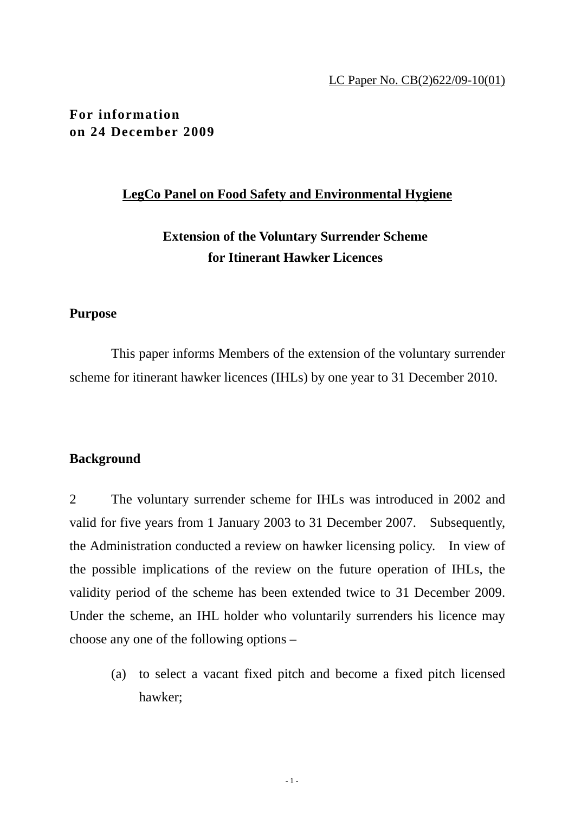#### LC Paper No. CB(2)622/09-10(01)

**For information on 24 December 2009** 

#### **LegCo Panel on Food Safety and Environmental Hygiene**

**Extension of the Voluntary Surrender Scheme for Itinerant Hawker Licences** 

## **Purpose**

 This paper informs Members of the extension of the voluntary surrender scheme for itinerant hawker licences (IHLs) by one year to 31 December 2010.

### **Background**

2 The voluntary surrender scheme for IHLs was introduced in 2002 and valid for five years from 1 January 2003 to 31 December 2007. Subsequently, the Administration conducted a review on hawker licensing policy. In view of the possible implications of the review on the future operation of IHLs, the validity period of the scheme has been extended twice to 31 December 2009. Under the scheme, an IHL holder who voluntarily surrenders his licence may choose any one of the following options –

 (a) to select a vacant fixed pitch and become a fixed pitch licensed hawker;

 $-1$  -  $-1$  -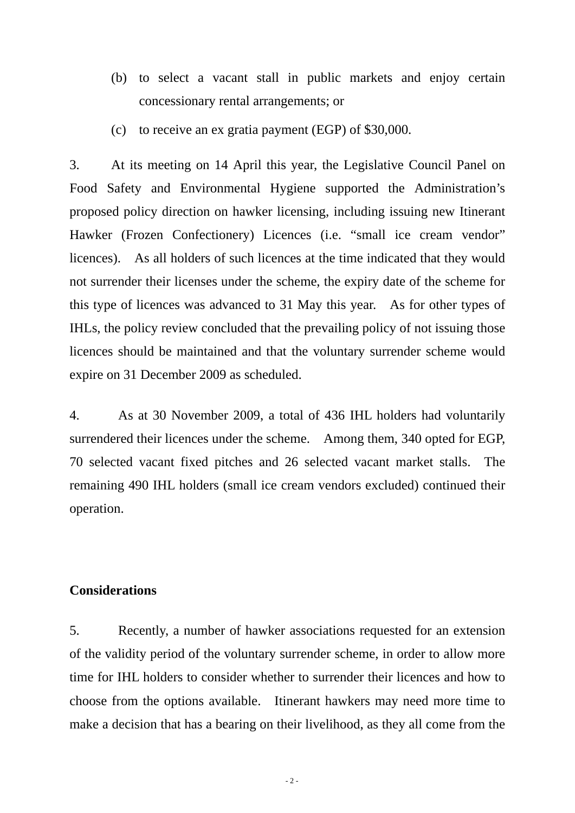- (b) to select a vacant stall in public markets and enjoy certain concessionary rental arrangements; or
- (c) to receive an ex gratia payment (EGP) of \$30,000.

3. At its meeting on 14 April this year, the Legislative Council Panel on Food Safety and Environmental Hygiene supported the Administration's proposed policy direction on hawker licensing, including issuing new Itinerant Hawker (Frozen Confectionery) Licences (i.e. "small ice cream vendor" licences). As all holders of such licences at the time indicated that they would not surrender their licenses under the scheme, the expiry date of the scheme for this type of licences was advanced to 31 May this year. As for other types of IHLs, the policy review concluded that the prevailing policy of not issuing those licences should be maintained and that the voluntary surrender scheme would expire on 31 December 2009 as scheduled.

4. As at 30 November 2009, a total of 436 IHL holders had voluntarily surrendered their licences under the scheme. Among them, 340 opted for EGP, 70 selected vacant fixed pitches and 26 selected vacant market stalls. The remaining 490 IHL holders (small ice cream vendors excluded) continued their operation.

# **Considerations**

5. Recently, a number of hawker associations requested for an extension of the validity period of the voluntary surrender scheme, in order to allow more time for IHL holders to consider whether to surrender their licences and how to choose from the options available. Itinerant hawkers may need more time to make a decision that has a bearing on their livelihood, as they all come from the

 $-2-$